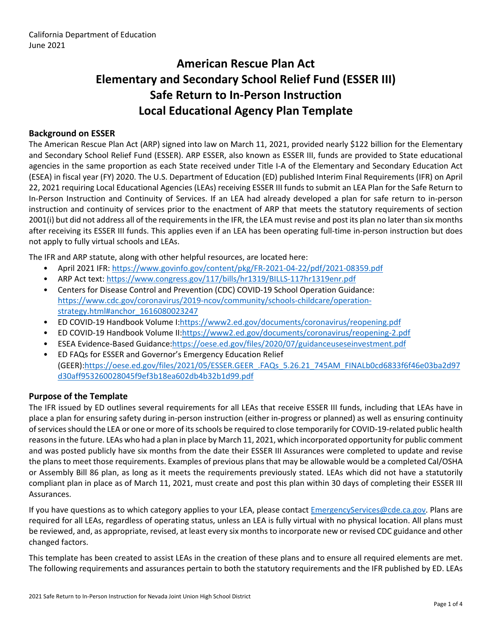# **American Rescue Plan Act Elementary and Secondary School Relief Fund (ESSER III) Safe Return to In-Person Instruction Local Educational Agency Plan Template**

### **Background on ESSER**

The American Rescue Plan Act (ARP) signed into law on March 11, 2021, provided nearly \$122 billion for the Elementary and Secondary School Relief Fund (ESSER). ARP ESSER, also known as ESSER III, funds are provided to State educational agencies in the same proportion as each State received under Title I-A of the Elementary and Secondary Education Act (ESEA) in fiscal year (FY) 2020. The U.S. Department of Education (ED) published Interim Final Requirements (IFR) on April 22, 2021 requiring Local Educational Agencies (LEAs) receiving ESSER III funds to submit an LEA Plan for the Safe Return to In-Person Instruction and Continuity of Services. If an LEA had already developed a plan for safe return to in-person instruction and continuity of services prior to the enactment of ARP that meets the statutory requirements of section 2001(i) but did not address all of the requirements in the IFR, the LEA must revise and post its plan no later than six months after receiving its ESSER III funds. This applies even if an LEA has been operating full-time in-person instruction but does not apply to fully virtual schools and LEAs.

The IFR and ARP statute, along with other helpful resources, are located here:

- April 2021 IFR: <https://www.govinfo.gov/content/pkg/FR-2021-04-22/pdf/2021-08359.pdf>
- ARP Act text: <https://www.congress.gov/117/bills/hr1319/BILLS-117hr1319enr.pdf>
- Centers for Disease Control and Prevention (CDC) COVID-19 School Operation Guidance: [https://www.cdc.gov/coronavirus/2019-ncov/community/schools-childcare/operation](https://www.cdc.gov/coronavirus/2019-ncov/community/schools-childcare/operation-strategy.html#anchor_1616080023247)[strategy.html#anchor\\_1616080023247](https://www.cdc.gov/coronavirus/2019-ncov/community/schools-childcare/operation-strategy.html#anchor_1616080023247)
- ED COVID-19 Handbook Volume I:[https://www2.ed.gov/documents/coronavirus/reopening.pdf](https://www2.ed.gov/documents/coronavirus/reopening.pdf%20)
- ED COVID-19 Handbook Volume II:<https://www2.ed.gov/documents/coronavirus/reopening-2.pdf>
- ESEA Evidence-Based Guidance[:https://oese.ed.gov/files/2020/07/guidanceuseseinvestment.pdf](https://oese.ed.gov/files/2020/07/guidanceuseseinvestment.pdf)
- ED FAQs for ESSER and Governor's Emergency Education Relief (GEER)[:https://oese.ed.gov/files/2021/05/ESSER.GEER\\_.FAQs\\_5.26.21\\_745AM\\_FINALb0cd6833f6f46e03ba2d97](https://oese.ed.gov/files/2021/05/ESSER.GEER_.FAQs_5.26.21_745AM_FINALb0cd6833f6f46e03ba2d97d30aff953260028045f9ef3b18ea602db4b32b1d99.pdf) [d30aff953260028045f9ef3b18ea602db4b32b1d99.pdf](https://oese.ed.gov/files/2021/05/ESSER.GEER_.FAQs_5.26.21_745AM_FINALb0cd6833f6f46e03ba2d97d30aff953260028045f9ef3b18ea602db4b32b1d99.pdf)

#### **Purpose of the Template**

The IFR issued by ED outlines several requirements for all LEAs that receive ESSER III funds, including that LEAs have in place a plan for ensuring safety during in-person instruction (either in-progress or planned) as well as ensuring continuity of services should the LEA or one or more of its schools be required to close temporarily for COVID-19-related public health reasons in the future. LEAs who had a plan in place by March 11, 2021, which incorporated opportunity for public comment and was posted publicly have six months from the date their ESSER III Assurances were completed to update and revise the plans to meet those requirements. Examples of previous plans that may be allowable would be a completed Cal/OSHA or Assembly Bill 86 plan, as long as it meets the requirements previously stated. LEAs which did not have a statutorily compliant plan in place as of March 11, 2021, must create and post this plan within 30 days of completing their ESSER III Assurances.

If you have questions as to which category applies to your LEA, please contact [EmergencyServices@cde.ca.gov.](mailto:EmergencyServices@cde.ca.gov) Plans are required for all LEAs, regardless of operating status, unless an LEA is fully virtual with no physical location. All plans must be reviewed, and, as appropriate, revised, at least every six months to incorporate new or revised CDC guidance and other changed factors.

This template has been created to assist LEAs in the creation of these plans and to ensure all required elements are met. The following requirements and assurances pertain to both the statutory requirements and the IFR published by ED. LEAs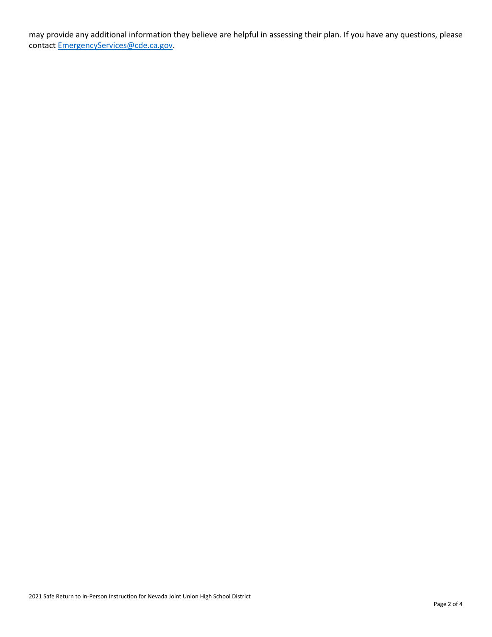may provide any additional information they believe are helpful in assessing their plan. If you have any questions, please contact [EmergencyServices@cde.ca.gov.](mailto:EmergencyServices@cde.ca.gov)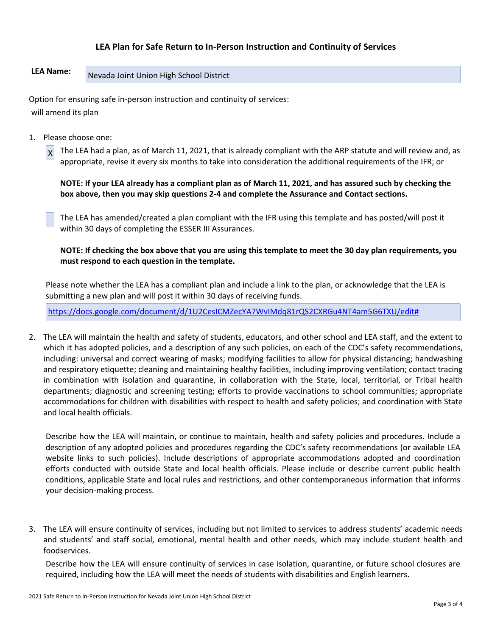## **LEA Plan for Safe Return to In-Person Instruction and Continuity of Services**

# LEA Name: Nevada Joint Union High School District

Option for ensuring safe in-person instruction and continuity of services: will amend its plan

1. Please choose one:

 $x$  The LEA had a plan, as of March 11, 2021, that is already compliant with the ARP statute and will review and, as appropriate, revise it every six months to take into consideration the additional requirements of the IFR; or

**NOTE: If your LEA already has a compliant plan as of March 11, 2021, and has assured such by checking the box above, then you may skip questions 2-4 and complete the Assurance and Contact sections.**

The LEA has amended/created a plan compliant with the IFR using this template and has posted/will post it within 30 days of completing the ESSER III Assurances.

**NOTE: If checking the box above that you are using this template to meet the 30 day plan requirements, you must respond to each question in the template.**

Please note whether the LEA has a compliant plan and include a link to the plan, or acknowledge that the LEA is submitting a new plan and will post it within 30 days of receiving funds.

<https://docs.google.com/document/d/1U2CesICMZecYA7WvIMdq81rQS2CXRGu4NT4am5G6TXU/edit#>

2. The LEA will maintain the health and safety of students, educators, and other school and LEA staff, and the extent to which it has adopted policies, and a description of any such policies, on each of the CDC's safety recommendations, including: universal and correct wearing of masks; modifying facilities to allow for physical distancing; handwashing and respiratory etiquette; cleaning and maintaining healthy facilities, including improving ventilation; contact tracing in combination with isolation and quarantine, in collaboration with the State, local, territorial, or Tribal health departments; diagnostic and screening testing; efforts to provide vaccinations to school communities; appropriate accommodations for children with disabilities with respect to health and safety policies; and coordination with State and local health officials.

Describe how the LEA will maintain, or continue to maintain, health and safety policies and procedures. Include a description of any adopted policies and procedures regarding the CDC's safety recommendations (or available LEA website links to such policies). Include descriptions of appropriate accommodations adopted and coordination efforts conducted with outside State and local health officials. Please include or describe current public health conditions, applicable State and local rules and restrictions, and other contemporaneous information that informs your decision-making process.

3. The LEA will ensure continuity of services, including but not limited to services to address students' academic needs and students' and staff social, emotional, mental health and other needs, which may include student health and foodservices.

Describe how the LEA will ensure continuity of services in case isolation, quarantine, or future school closures are required, including how the LEA will meet the needs of students with disabilities and English learners.